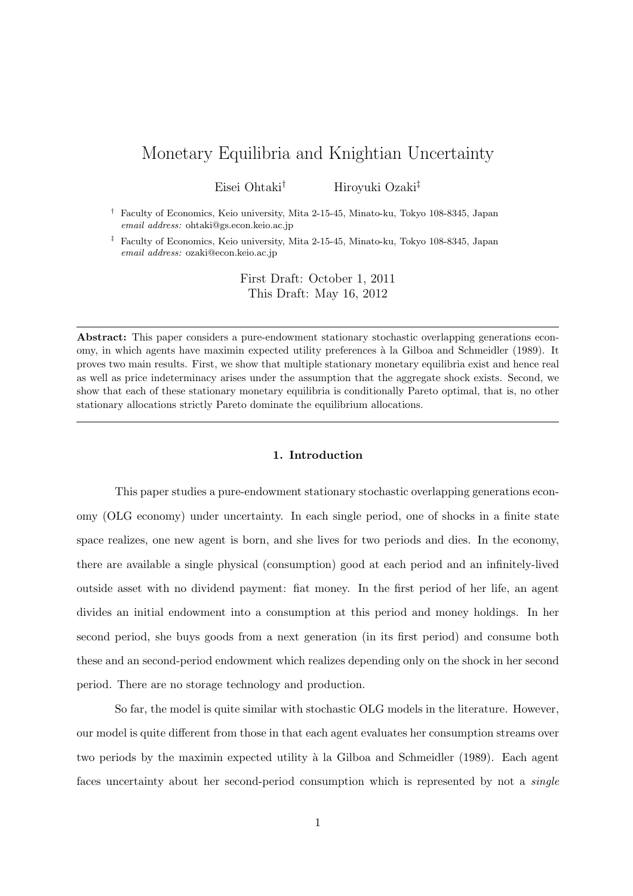# Monetary Equilibria and Knightian Uncertainty

Eisei Ohtaki*†* Hiroyuki Ozaki*‡*

*†* Faculty of Economics, Keio university, Mita 2-15-45, Minato-ku, Tokyo 108-8345, Japan *email address:* ohtaki@gs.econ.keio.ac.jp

*‡* Faculty of Economics, Keio university, Mita 2-15-45, Minato-ku, Tokyo 108-8345, Japan *email address:* ozaki@econ.keio.ac.jp

> First Draft: October 1, 2011 This Draft: May 16, 2012

**Abstract:** This paper considers a pure-endowment stationary stochastic overlapping generations economy, in which agents have maximin expected utility preferences à la Gilboa and Schmeidler (1989). It proves two main results. First, we show that multiple stationary monetary equilibria exist and hence real as well as price indeterminacy arises under the assumption that the aggregate shock exists. Second, we show that each of these stationary monetary equilibria is conditionally Pareto optimal, that is, no other stationary allocations strictly Pareto dominate the equilibrium allocations.

## **1. Introduction**

This paper studies a pure-endowment stationary stochastic overlapping generations economy (OLG economy) under uncertainty. In each single period, one of shocks in a finite state space realizes, one new agent is born, and she lives for two periods and dies. In the economy, there are available a single physical (consumption) good at each period and an infinitely-lived outside asset with no dividend payment: fiat money. In the first period of her life, an agent divides an initial endowment into a consumption at this period and money holdings. In her second period, she buys goods from a next generation (in its first period) and consume both these and an second-period endowment which realizes depending only on the shock in her second period. There are no storage technology and production.

So far, the model is quite similar with stochastic OLG models in the literature. However, our model is quite different from those in that each agent evaluates her consumption streams over two periods by the maximin expected utility à la Gilboa and Schmeidler (1989). Each agent faces uncertainty about her second-period consumption which is represented by not a *single*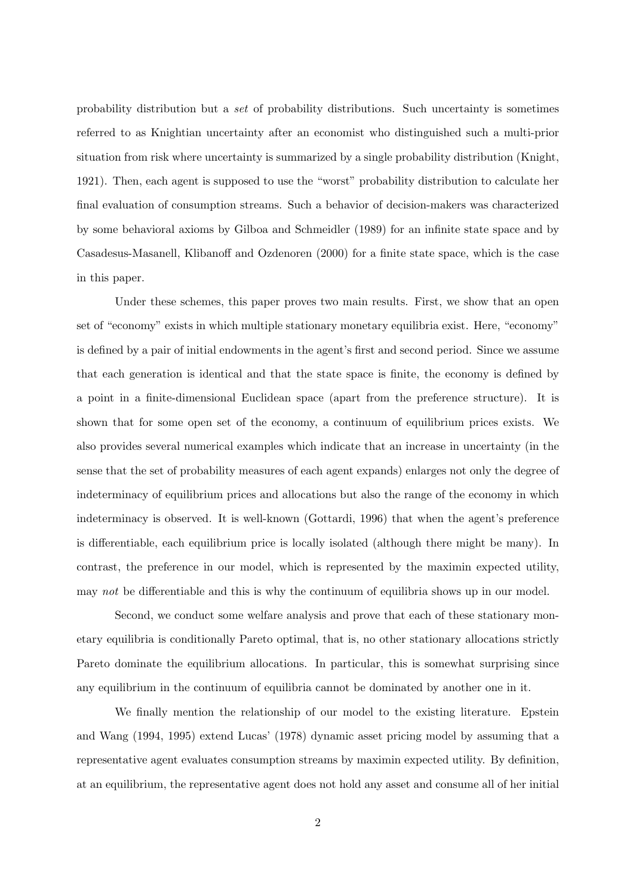probability distribution but a *set* of probability distributions. Such uncertainty is sometimes referred to as Knightian uncertainty after an economist who distinguished such a multi-prior situation from risk where uncertainty is summarized by a single probability distribution (Knight, 1921). Then, each agent is supposed to use the "worst" probability distribution to calculate her final evaluation of consumption streams. Such a behavior of decision-makers was characterized by some behavioral axioms by Gilboa and Schmeidler (1989) for an infinite state space and by Casadesus-Masanell, Klibanoff and Ozdenoren (2000) for a finite state space, which is the case in this paper.

Under these schemes, this paper proves two main results. First, we show that an open set of "economy" exists in which multiple stationary monetary equilibria exist. Here, "economy" is defined by a pair of initial endowments in the agent's first and second period. Since we assume that each generation is identical and that the state space is finite, the economy is defined by a point in a finite-dimensional Euclidean space (apart from the preference structure). It is shown that for some open set of the economy, a continuum of equilibrium prices exists. We also provides several numerical examples which indicate that an increase in uncertainty (in the sense that the set of probability measures of each agent expands) enlarges not only the degree of indeterminacy of equilibrium prices and allocations but also the range of the economy in which indeterminacy is observed. It is well-known (Gottardi, 1996) that when the agent's preference is differentiable, each equilibrium price is locally isolated (although there might be many). In contrast, the preference in our model, which is represented by the maximin expected utility, may *not* be differentiable and this is why the continuum of equilibria shows up in our model.

Second, we conduct some welfare analysis and prove that each of these stationary monetary equilibria is conditionally Pareto optimal, that is, no other stationary allocations strictly Pareto dominate the equilibrium allocations. In particular, this is somewhat surprising since any equilibrium in the continuum of equilibria cannot be dominated by another one in it.

We finally mention the relationship of our model to the existing literature. Epstein and Wang (1994, 1995) extend Lucas' (1978) dynamic asset pricing model by assuming that a representative agent evaluates consumption streams by maximin expected utility. By definition, at an equilibrium, the representative agent does not hold any asset and consume all of her initial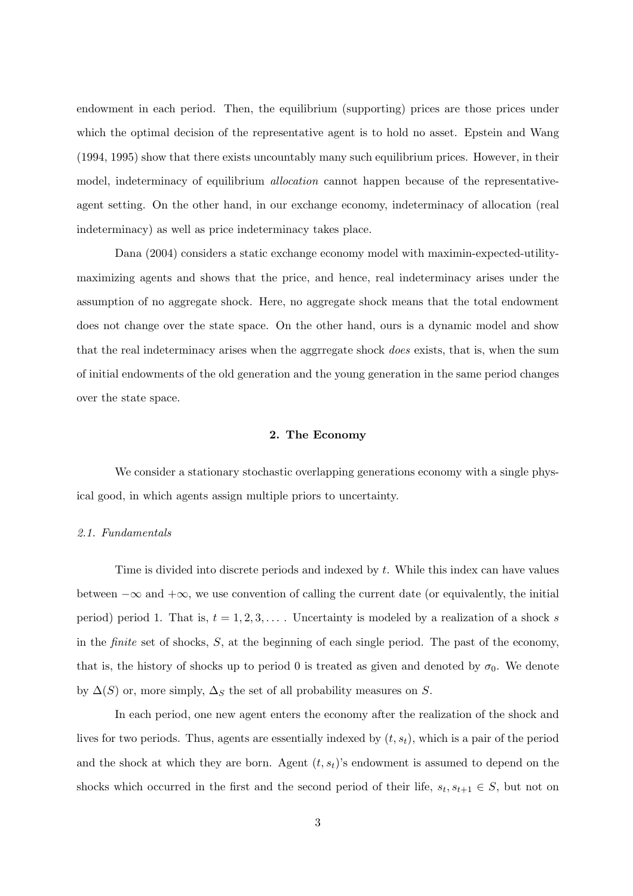endowment in each period. Then, the equilibrium (supporting) prices are those prices under which the optimal decision of the representative agent is to hold no asset. Epstein and Wang (1994, 1995) show that there exists uncountably many such equilibrium prices. However, in their model, indeterminacy of equilibrium *allocation* cannot happen because of the representativeagent setting. On the other hand, in our exchange economy, indeterminacy of allocation (real indeterminacy) as well as price indeterminacy takes place.

Dana (2004) considers a static exchange economy model with maximin-expected-utilitymaximizing agents and shows that the price, and hence, real indeterminacy arises under the assumption of no aggregate shock. Here, no aggregate shock means that the total endowment does not change over the state space. On the other hand, ours is a dynamic model and show that the real indeterminacy arises when the aggrregate shock *does* exists, that is, when the sum of initial endowments of the old generation and the young generation in the same period changes over the state space.

#### **2. The Economy**

We consider a stationary stochastic overlapping generations economy with a single physical good, in which agents assign multiple priors to uncertainty.

#### *2.1. Fundamentals*

Time is divided into discrete periods and indexed by *t*. While this index can have values between *−∞* and +*∞*, we use convention of calling the current date (or equivalently, the initial period) period 1. That is,  $t = 1, 2, 3, \ldots$ . Uncertainty is modeled by a realization of a shock *s* in the *finite* set of shocks, *S*, at the beginning of each single period. The past of the economy, that is, the history of shocks up to period 0 is treated as given and denoted by  $\sigma_0$ . We denote by  $\Delta(S)$  or, more simply,  $\Delta_S$  the set of all probability measures on *S*.

In each period, one new agent enters the economy after the realization of the shock and lives for two periods. Thus, agents are essentially indexed by (*t, st*), which is a pair of the period and the shock at which they are born. Agent  $(t, s_t)$ 's endowment is assumed to depend on the shocks which occurred in the first and the second period of their life,  $s_t$ ,  $s_{t+1} \in S$ , but not on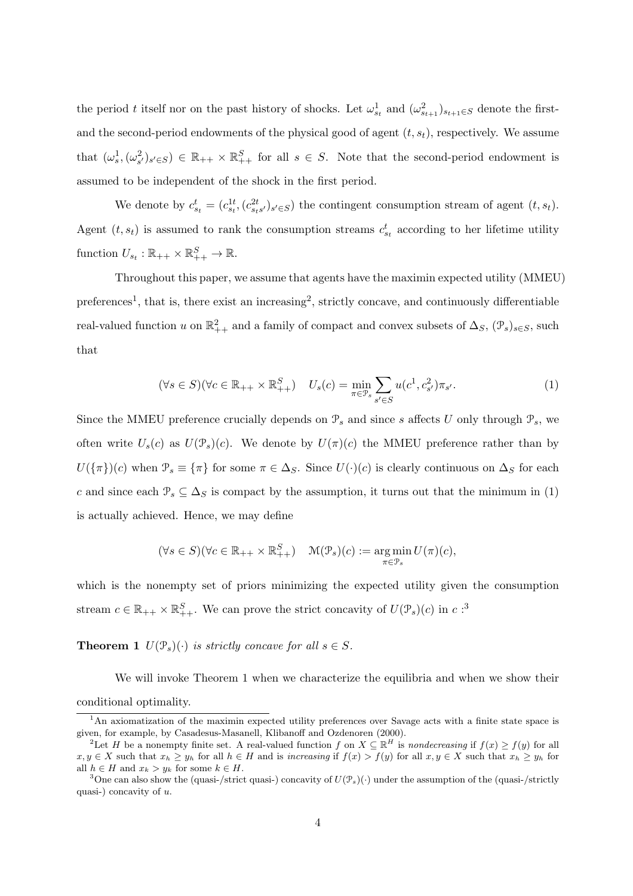the period *t* itself nor on the past history of shocks. Let  $\omega_{s_t}^1$  and  $(\omega_{s_{t+1}}^2)_{s_{t+1} \in S}$  denote the firstand the second-period endowments of the physical good of agent (*t, st*), respectively. We assume that  $(\omega_s^1, (\omega_{s'}^2)_{s' \in S}) \in \mathbb{R}_{++} \times \mathbb{R}_{++}^S$  for all  $s \in S$ . Note that the second-period endowment is assumed to be independent of the shock in the first period.

We denote by  $c_{s_t}^t = (c_{s_t}^{1t}, (c_{s_ts}^{2t})_{s' \in S})$  the contingent consumption stream of agent  $(t, s_t)$ . Agent  $(t, s_t)$  is assumed to rank the consumption streams  $c_{s_t}^t$  according to her lifetime utility function  $U_{s_t} : \mathbb{R}_{++} \times \mathbb{R}^S_{++} \to \mathbb{R}$ .

Throughout this paper, we assume that agents have the maximin expected utility (MMEU) preferences<sup>1</sup>, that is, there exist an increasing<sup>2</sup>, strictly concave, and continuously differentiable real-valued function *u* on  $\mathbb{R}^2_{++}$  and a family of compact and convex subsets of  $\Delta_S$ ,  $(\mathcal{P}_s)_{s \in S}$ , such that

$$
(\forall s \in S)(\forall c \in \mathbb{R}_{++} \times \mathbb{R}_{++}^S) \quad U_s(c) = \min_{\pi \in \mathcal{P}_s} \sum_{s' \in S} u(c^1, c_{s'}^2) \pi_{s'}.
$$
 (1)

Since the MMEU preference crucially depends on  $\mathcal{P}_s$  and since *s* affects *U* only through  $\mathcal{P}_s$ , we often write  $U_s(c)$  as  $U(\mathcal{P}_s)(c)$ . We denote by  $U(\pi)(c)$  the MMEU preference rather than by  $U(\{\pi\})(c)$  when  $\mathcal{P}_s \equiv \{\pi\}$  for some  $\pi \in \Delta_S$ . Since  $U(\cdot)(c)$  is clearly continuous on  $\Delta_S$  for each *c* and since each  $\mathcal{P}_s \subseteq \Delta_S$  is compact by the assumption, it turns out that the minimum in (1) is actually achieved. Hence, we may define

$$
(\forall s \in S)(\forall c \in \mathbb{R}_{++} \times \mathbb{R}^S_{++}) \quad \mathcal{M}(\mathcal{P}_s)(c) := \underset{\pi \in \mathcal{P}_s}{\arg \min} U(\pi)(c),
$$

which is the nonempty set of priors minimizing the expected utility given the consumption stream  $c \in \mathbb{R}_{++} \times \mathbb{R}_{++}^S$ . We can prove the strict concavity of  $U(\mathcal{P}_s)(c)$  in  $c:$ <sup>3</sup>

**Theorem 1**  $U(\mathcal{P}_s)(\cdot)$  *is strictly concave for all*  $s \in S$ *.* 

We will invoke Theorem 1 when we characterize the equilibria and when we show their conditional optimality.

<sup>&</sup>lt;sup>1</sup>An axiomatization of the maximin expected utility preferences over Savage acts with a finite state space is given, for example, by Casadesus-Masanell, Klibanoff and Ozdenoren (2000).

<sup>&</sup>lt;sup>2</sup>Let *H* be a nonempty finite set. A real-valued function *f* on  $X \subseteq \mathbb{R}^H$  is *nondecreasing* if  $f(x) \ge f(y)$  for all  $x, y \in X$  such that  $x_h \geq y_h$  for all  $h \in H$  and is increasing if  $f(x) > f(y)$  for all  $x, y \in X$  such that  $x_h \geq y_h$  for all  $h \in H$  and  $x_k > y_k$  for some  $k \in H$ .

<sup>&</sup>lt;sup>3</sup>One can also show the (quasi-/strict quasi-) concavity of  $U(\mathcal{P}_s)(\cdot)$  under the assumption of the (quasi-/strictly quasi-) concavity of *u*.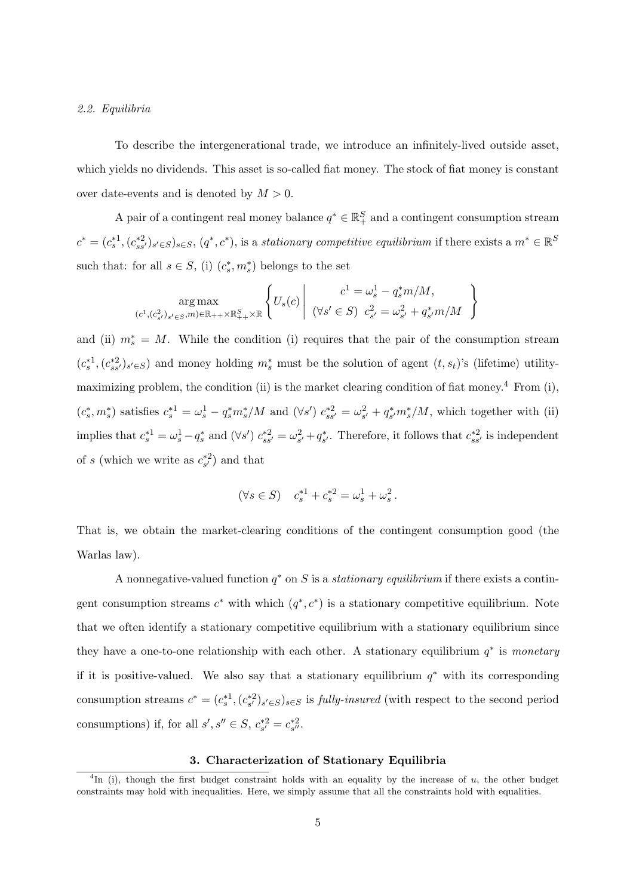#### *2.2. Equilibria*

To describe the intergenerational trade, we introduce an infinitely-lived outside asset, which yields no dividends. This asset is so-called fiat money. The stock of fiat money is constant over date-events and is denoted by *M >* 0.

A pair of a contingent real money balance  $q^* \in \mathbb{R}^S_+$  and a contingent consumption stream  $c^* = (c_s^{*1}, (c_{ss'}^{*2})_{s' \in S})_{s \in S}, (q^*, c^*)$ , is a stationary competitive equilibrium if there exists a  $m^* \in \mathbb{R}^S$ such that: for all  $s \in S$ , (i)  $(c_s^*, m_s^*)$  belongs to the set

$$
\arg \max_{(c^1, (c_{s'}^2)_{s' \in S}, m) \in \mathbb{R}_{++} \times \mathbb{R}_{++}^S \times \mathbb{R}} \left\{ U_s(c) \middle| \begin{array}{c} c^1 = \omega_s^1 - q_s^* m / M, \\ (\forall s' \in S) \ c_{s'}^2 = \omega_{s'}^2 + q_{s'}^* m / M \end{array} \right\}
$$

and (ii)  $m_s^* = M$ . While the condition (i) requires that the pair of the consumption stream  $(c_s^{*1}, (c_{ss'}^{*2})_{s' \in S})$  and money holding  $m_s^*$  must be the solution of agent  $(t, s_t)$ 's (lifetime) utilitymaximizing problem, the condition (ii) is the market clearing condition of fiat money.<sup>4</sup> From (i),  $(c_s^*, m_s^*)$  satisfies  $c_s^{*1} = \omega_s^1 - q_s^* m_s^* / M$  and  $(\forall s')$   $c_{ss'}^{*2} = \omega_{s'}^2 + q_{s'}^* m_s^* / M$ , which together with (ii) implies that  $c_s^{*1} = \omega_s^1 - q_s^*$  and  $(\forall s') c_{ss'}^{*2} = \omega_{s'}^2 + q_{s'}^*$ . Therefore, it follows that  $c_{ss'}^{*2}$  is independent of *s* (which we write as  $c_{s'}^{*2}$ ) and that

$$
(\forall s \in S) \quad c_s^{*1} + c_s^{*2} = \omega_s^1 + \omega_s^2 \, .
$$

That is, we obtain the market-clearing conditions of the contingent consumption good (the Warlas law).

A nonnegative-valued function *q ∗* on *S* is a *stationary equilibrium* if there exists a contingent consumption streams  $c^*$  with which  $(q^*, c^*)$  is a stationary competitive equilibrium. Note that we often identify a stationary competitive equilibrium with a stationary equilibrium since they have a one-to-one relationship with each other. A stationary equilibrium *q ∗* is *monetary* if it is positive-valued. We also say that a stationary equilibrium *q ∗* with its corresponding consumption streams  $c^* = (c_s^{*1}, (c_{s'}^{*2})_{s' \in S})_{s \in S}$  is *fully-insured* (with respect to the second period consumptions) if, for all  $s', s'' \in S$ ,  $c_{s'}^{*2} = c_{s''}^{*2}$ .

# **3. Characterization of Stationary Equilibria**

<sup>4</sup> In (i), though the first budget constraint holds with an equality by the increase of *u*, the other budget constraints may hold with inequalities. Here, we simply assume that all the constraints hold with equalities.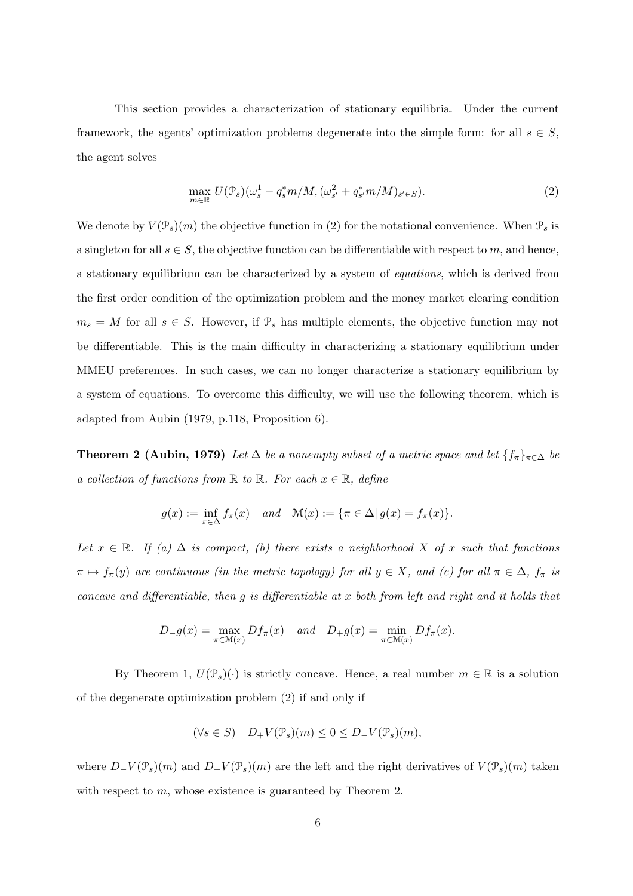This section provides a characterization of stationary equilibria. Under the current framework, the agents' optimization problems degenerate into the simple form: for all  $s \in S$ , the agent solves

$$
\max_{m \in \mathbb{R}} U(\mathcal{P}_s)(\omega_s^1 - q_s^* m/M, (\omega_{s'}^2 + q_{s'}^* m/M)_{s' \in S}).
$$
\n(2)

We denote by  $V(\mathcal{P}_s)(m)$  the objective function in (2) for the notational convenience. When  $\mathcal{P}_s$  is a singleton for all  $s \in S$ , the objective function can be differentiable with respect to *m*, and hence, a stationary equilibrium can be characterized by a system of *equations*, which is derived from the first order condition of the optimization problem and the money market clearing condition  $m_s = M$  for all  $s \in S$ . However, if  $\mathcal{P}_s$  has multiple elements, the objective function may not be differentiable. This is the main difficulty in characterizing a stationary equilibrium under MMEU preferences. In such cases, we can no longer characterize a stationary equilibrium by a system of equations. To overcome this difficulty, we will use the following theorem, which is adapted from Aubin (1979, p.118, Proposition 6).

**Theorem 2 (Aubin, 1979)** *Let*  $\Delta$  *be a nonempty subset of a metric space and let*  $\{f_\pi\}_{\pi \in \Delta}$  *be a collection of functions from*  $\mathbb R$  *to*  $\mathbb R$ *. For each*  $x \in \mathbb R$ *, define* 

$$
g(x) := \inf_{\pi \in \Delta} f_{\pi}(x) \quad and \quad \mathcal{M}(x) := \{ \pi \in \Delta | g(x) = f_{\pi}(x) \}.
$$

*Let*  $x \in \mathbb{R}$ *. If (a)*  $\Delta$  *is compact, (b) there exists a neighborhood*  $X$  *of*  $x$  *such that functions*  $\pi \mapsto f_{\pi}(y)$  are continuous (in the metric topology) for all  $y \in X$ , and (c) for all  $\pi \in \Delta$ ,  $f_{\pi}$  is *concave and differentiable, then g is differentiable at x both from left and right and it holds that*

$$
D_{-}g(x) = \max_{\pi \in \mathcal{M}(x)} Df_{\pi}(x) \quad and \quad D_{+}g(x) = \min_{\pi \in \mathcal{M}(x)} Df_{\pi}(x).
$$

By Theorem 1,  $U(\mathcal{P}_s)(\cdot)$  is strictly concave. Hence, a real number  $m \in \mathbb{R}$  is a solution of the degenerate optimization problem (2) if and only if

$$
(\forall s \in S) \quad D_+ V(\mathcal{P}_s)(m) \le 0 \le D_- V(\mathcal{P}_s)(m),
$$

where  $D$ <sup>*−*</sup>  $V(\mathcal{P}_s)(m)$  and  $D$ <sup>+</sup>  $V(\mathcal{P}_s)(m)$  are the left and the right derivatives of  $V(\mathcal{P}_s)(m)$  taken with respect to *m*, whose existence is guaranteed by Theorem 2.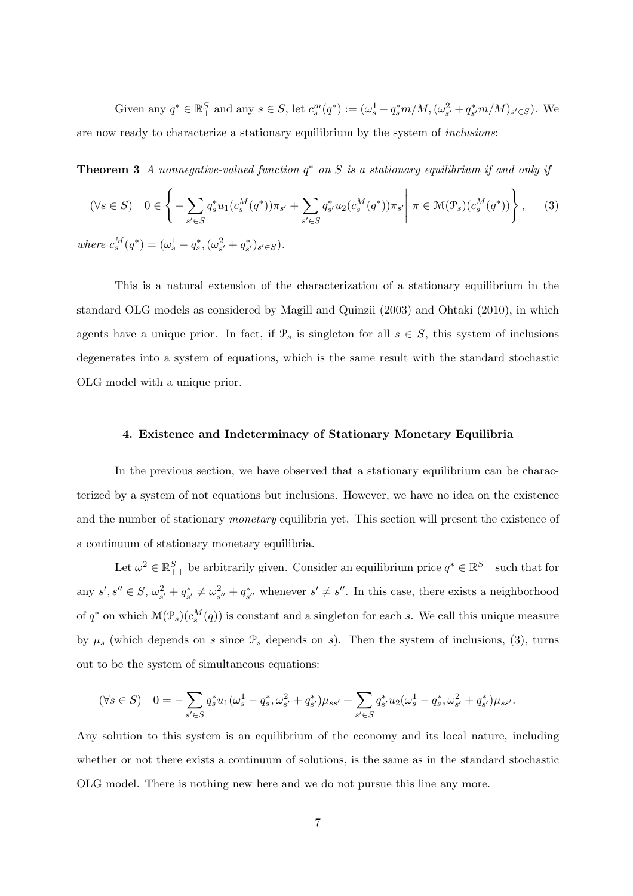Given any  $q^* \in \mathbb{R}_+^S$  and any  $s \in S$ , let  $c_s^m(q^*) := (\omega_s^1 - q_s^* m/M, (\omega_{s'}^2 + q_{s'}^* m/M)_{s' \in S})$ . We are now ready to characterize a stationary equilibrium by the system of *inclusions*:

**Theorem 3** *A nonnegative-valued function q ∗ on S is a stationary equilibrium if and only if*

$$
(\forall s \in S) \quad 0 \in \left\{ -\sum_{s' \in S} q_s^* u_1(c_s^M(q^*)) \pi_{s'} + \sum_{s' \in S} q_{s'}^* u_2(c_s^M(q^*)) \pi_{s'} \middle| \pi \in \mathcal{M}(\mathcal{P}_s)(c_s^M(q^*)) \right\},\tag{3}
$$

where  $c_s^M(q^*) = (\omega_s^1 - q_s^*, (\omega_{s'}^2 + q_{s'}^*)_{s' \in S}).$ 

This is a natural extension of the characterization of a stationary equilibrium in the standard OLG models as considered by Magill and Quinzii (2003) and Ohtaki (2010), in which agents have a unique prior. In fact, if  $\mathcal{P}_s$  is singleton for all  $s \in S$ , this system of inclusions degenerates into a system of equations, which is the same result with the standard stochastic OLG model with a unique prior.

#### **4. Existence and Indeterminacy of Stationary Monetary Equilibria**

In the previous section, we have observed that a stationary equilibrium can be characterized by a system of not equations but inclusions. However, we have no idea on the existence and the number of stationary *monetary* equilibria yet. This section will present the existence of a continuum of stationary monetary equilibria.

Let  $\omega^2 \in \mathbb{R}^S_{++}$  be arbitrarily given. Consider an equilibrium price  $q^* \in \mathbb{R}^S_{++}$  such that for any  $s', s'' \in S$ ,  $\omega_{s'}^2 + q_{s'}^* \neq \omega_{s''}^2 + q_{s''}^*$ , whenever  $s' \neq s''$ . In this case, there exists a neighborhood of  $q^*$  on which  $\mathcal{M}(\mathcal{P}_s)(c_s^M(q))$  is constant and a singleton for each *s*. We call this unique measure by  $\mu_s$  (which depends on *s* since  $\mathcal{P}_s$  depends on *s*). Then the system of inclusions, (3), turns out to be the system of simultaneous equations:

$$
(\forall s \in S) \quad 0 = -\sum_{s' \in S} q_s^* u_1(\omega_s^1 - q_s^*, \omega_{s'}^2 + q_{s'}^*) \mu_{ss'} + \sum_{s' \in S} q_{s'}^* u_2(\omega_s^1 - q_s^*, \omega_{s'}^2 + q_{s'}^*) \mu_{ss'}.
$$

Any solution to this system is an equilibrium of the economy and its local nature, including whether or not there exists a continuum of solutions, is the same as in the standard stochastic OLG model. There is nothing new here and we do not pursue this line any more.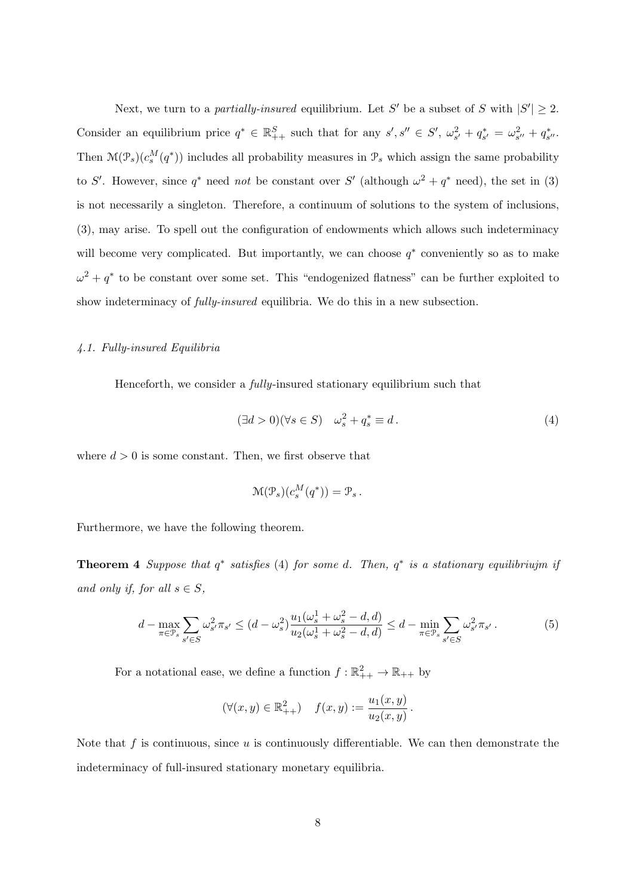Next, we turn to a *partially-insured* equilibrium. Let S' be a subset of S with  $|S'| \geq 2$ . Consider an equilibrium price  $q^* \in \mathbb{R}^S_{++}$  such that for any  $s', s'' \in S', \omega_{s'}^2 + q_{s'}^* = \omega_{s''}^2 + q_{s''}^*$ . Then  $\mathcal{M}(\mathcal{P}_s)(c_s^M(q^*))$  includes all probability measures in  $\mathcal{P}_s$  which assign the same probability to *S'*. However, since  $q^*$  need *not* be constant over *S'* (although  $\omega^2 + q^*$  need), the set in (3) is not necessarily a singleton. Therefore, a continuum of solutions to the system of inclusions, (3), may arise. To spell out the configuration of endowments which allows such indeterminacy will become very complicated. But importantly, we can choose  $q^*$  conveniently so as to make  $\omega^2 + q^*$  to be constant over some set. This "endogenized flatness" can be further exploited to show indeterminacy of *fully-insured* equilibria. We do this in a new subsection.

#### *4.1. Fully-insured Equilibria*

Henceforth, we consider a *fully*-insured stationary equilibrium such that

$$
(\exists d > 0)(\forall s \in S) \quad \omega_s^2 + q_s^* \equiv d. \tag{4}
$$

where  $d > 0$  is some constant. Then, we first observe that

$$
\mathcal{M}(\mathcal{P}_s)(c_s^M(q^*)) = \mathcal{P}_s.
$$

Furthermore, we have the following theorem.

**Theorem 4** *Suppose that q ∗ satisfies* (4) *for some d. Then, q ∗ is a stationary equilibriujm if and only if, for all*  $s \in S$ *,* 

$$
d - \max_{\pi \in \mathcal{P}_s} \sum_{s' \in S} \omega_{s'}^2 \pi_{s'} \le (d - \omega_s^2) \frac{u_1(\omega_s^1 + \omega_s^2 - d, d)}{u_2(\omega_s^1 + \omega_s^2 - d, d)} \le d - \min_{\pi \in \mathcal{P}_s} \sum_{s' \in S} \omega_{s'}^2 \pi_{s'}.
$$
 (5)

For a notational ease, we define a function  $f : \mathbb{R}^2_{++} \to \mathbb{R}_{++}$  by

$$
(\forall (x, y) \in \mathbb{R}^2_{++}) \quad f(x, y) := \frac{u_1(x, y)}{u_2(x, y)}.
$$

Note that *f* is continuous, since *u* is continuously differentiable. We can then demonstrate the indeterminacy of full-insured stationary monetary equilibria.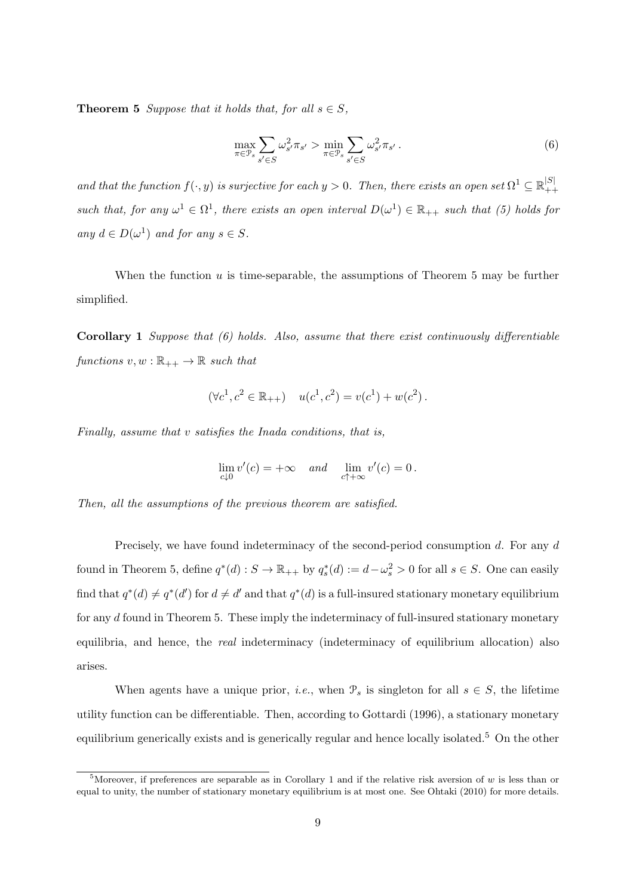**Theorem 5** *Suppose that it holds that, for all*  $s \in S$ *,* 

$$
\max_{\pi \in \mathcal{P}_s} \sum_{s' \in S} \omega_{s'}^2 \pi_{s'} > \min_{\pi \in \mathcal{P}_s} \sum_{s' \in S} \omega_{s'}^2 \pi_{s'}.
$$
\n
$$
(6)
$$

*and that the function*  $f(\cdot, y)$  *is surjective for each*  $y > 0$ . Then, there exists an open set  $\Omega^1 \subseteq \mathbb{R}_{++}^{|S|}$ such that, for any  $\omega^1 \in \Omega^1$ , there exists an open interval  $D(\omega^1) \in \mathbb{R}_{++}$  such that (5) holds for  $any \ d \in D(\omega^1) \ and \ for \ any \ s \in S$ .

When the function *u* is time-separable, the assumptions of Theorem 5 may be further simplified.

**Corollary 1** *Suppose that (6) holds. Also, assume that there exist continuously differentiable functions*  $v, w : \mathbb{R}_{++} \to \mathbb{R}$  *such that* 

$$
(\forall c^1, c^2 \in \mathbb{R}_{++}) \quad u(c^1, c^2) = v(c^1) + w(c^2).
$$

*Finally, assume that v satisfies the Inada conditions, that is,*

$$
\lim_{c \downarrow 0} v'(c) = +\infty \quad and \quad \lim_{c \uparrow +\infty} v'(c) = 0.
$$

*Then, all the assumptions of the previous theorem are satisfied.*

Precisely, we have found indeterminacy of the second-period consumption *d*. For any *d* found in Theorem 5, define  $q^*(d) : S \to \mathbb{R}_{++}$  by  $q_s^*(d) := d - \omega_s^2 > 0$  for all  $s \in S$ . One can easily find that  $q^*(d) \neq q^*(d')$  for  $d \neq d'$  and that  $q^*(d)$  is a full-insured stationary monetary equilibrium for any *d* found in Theorem 5. These imply the indeterminacy of full-insured stationary monetary equilibria, and hence, the *real* indeterminacy (indeterminacy of equilibrium allocation) also arises.

When agents have a unique prior, *i.e.*, when  $\mathcal{P}_s$  is singleton for all  $s \in S$ , the lifetime utility function can be differentiable. Then, according to Gottardi (1996), a stationary monetary equilibrium generically exists and is generically regular and hence locally isolated.<sup>5</sup> On the other

<sup>5</sup>Moreover, if preferences are separable as in Corollary 1 and if the relative risk aversion of *w* is less than or equal to unity, the number of stationary monetary equilibrium is at most one. See Ohtaki (2010) for more details.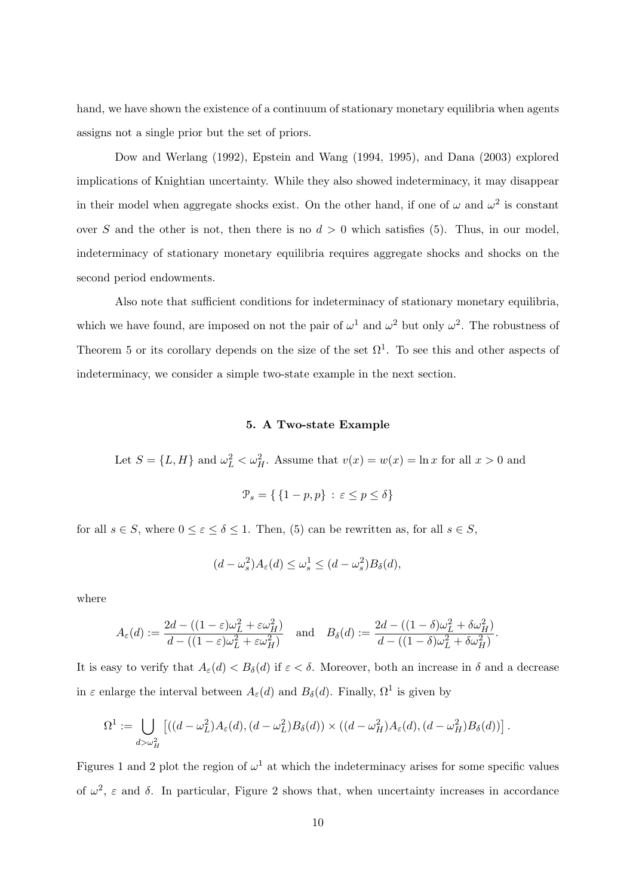hand, we have shown the existence of a continuum of stationary monetary equilibria when agents assigns not a single prior but the set of priors.

Dow and Werlang (1992), Epstein and Wang (1994, 1995), and Dana (2003) explored implications of Knightian uncertainty. While they also showed indeterminacy, it may disappear in their model when aggregate shocks exist. On the other hand, if one of  $\omega$  and  $\omega^2$  is constant over *S* and the other is not, then there is no  $d > 0$  which satisfies (5). Thus, in our model, indeterminacy of stationary monetary equilibria requires aggregate shocks and shocks on the second period endowments.

Also note that sufficient conditions for indeterminacy of stationary monetary equilibria, which we have found, are imposed on not the pair of  $\omega^1$  and  $\omega^2$  but only  $\omega^2$ . The robustness of Theorem 5 or its corollary depends on the size of the set  $\Omega^1$ . To see this and other aspects of indeterminacy, we consider a simple two-state example in the next section.

# **5. A Two-state Example**

Let  $S = \{L, H\}$  and  $\omega_L^2 < \omega_H^2$ . Assume that  $v(x) = w(x) = \ln x$  for all  $x > 0$  and

$$
\mathcal{P}_s = \{ \{1 - p, p\} \, : \, \varepsilon \le p \le \delta \}
$$

for all  $s \in S$ , where  $0 \leq \varepsilon \leq \delta \leq 1$ . Then, (5) can be rewritten as, for all  $s \in S$ ,

$$
(d - \omega_s^2)A_{\varepsilon}(d) \le \omega_s^1 \le (d - \omega_s^2)B_{\delta}(d),
$$

where

$$
A_{\varepsilon}(d) := \frac{2d - ((1 - \varepsilon)\omega_L^2 + \varepsilon \omega_H^2)}{d - ((1 - \varepsilon)\omega_L^2 + \varepsilon \omega_H^2)} \quad \text{and} \quad B_{\delta}(d) := \frac{2d - ((1 - \delta)\omega_L^2 + \delta \omega_H^2)}{d - ((1 - \delta)\omega_L^2 + \delta \omega_H^2)}.
$$

It is easy to verify that  $A_{\varepsilon}(d) < B_{\delta}(d)$  if  $\varepsilon < \delta$ . Moreover, both an increase in  $\delta$  and a decrease in  $\varepsilon$  enlarge the interval between  $A_{\varepsilon}(d)$  and  $B_{\delta}(d)$ . Finally,  $\Omega^1$  is given by

$$
\Omega^1:=\bigcup_{d>\omega_H^2}\left[((d-\omega_L^2)A_\varepsilon(d),(d-\omega_L^2)B_\delta(d))\times((d-\omega_H^2)A_\varepsilon(d),(d-\omega_H^2)B_\delta(d))\right].
$$

Figures 1 and 2 plot the region of  $\omega^1$  at which the indeterminacy arises for some specific values of  $\omega^2$ ,  $\varepsilon$  and  $\delta$ . In particular, Figure 2 shows that, when uncertainty increases in accordance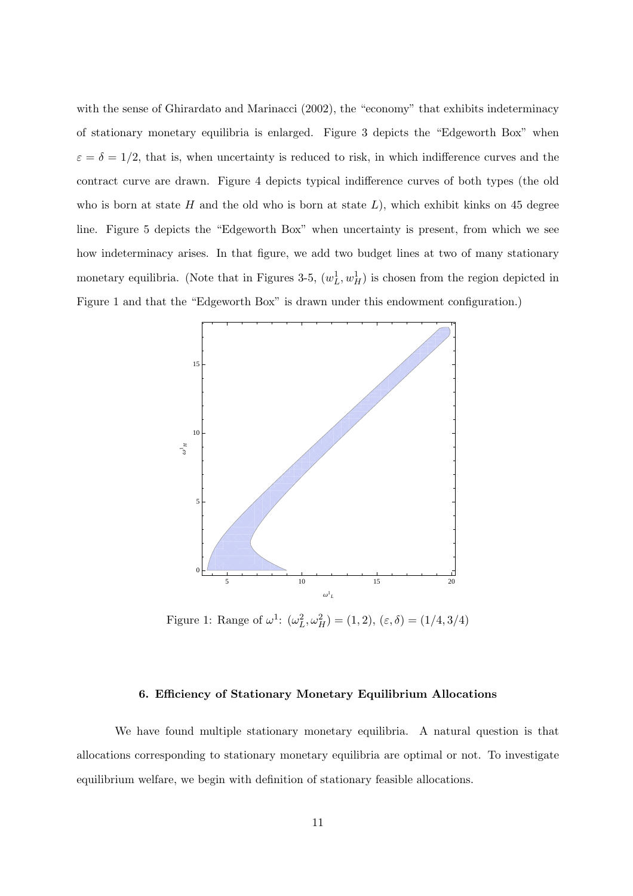with the sense of Ghirardato and Marinacci (2002), the "economy" that exhibits indeterminacy of stationary monetary equilibria is enlarged. Figure 3 depicts the "Edgeworth Box" when  $\varepsilon = \delta = 1/2$ , that is, when uncertainty is reduced to risk, in which indifference curves and the contract curve are drawn. Figure 4 depicts typical indifference curves of both types (the old who is born at state *H* and the old who is born at state *L*), which exhibit kinks on 45 degree line. Figure 5 depicts the "Edgeworth Box" when uncertainty is present, from which we see how indeterminacy arises. In that figure, we add two budget lines at two of many stationary monetary equilibria. (Note that in Figures 3-5,  $(w<sub>L</sub><sup>1</sup>, w<sub>H</sub><sup>1</sup>)$  is chosen from the region depicted in Figure 1 and that the "Edgeworth Box" is drawn under this endowment configuration.)



Figure 1: Range of  $\omega^1$ :  $(\omega_L^2, \omega_H^2) = (1, 2), (\varepsilon, \delta) = (1/4, 3/4)$ 

#### **6. Efficiency of Stationary Monetary Equilibrium Allocations**

We have found multiple stationary monetary equilibria. A natural question is that allocations corresponding to stationary monetary equilibria are optimal or not. To investigate equilibrium welfare, we begin with definition of stationary feasible allocations.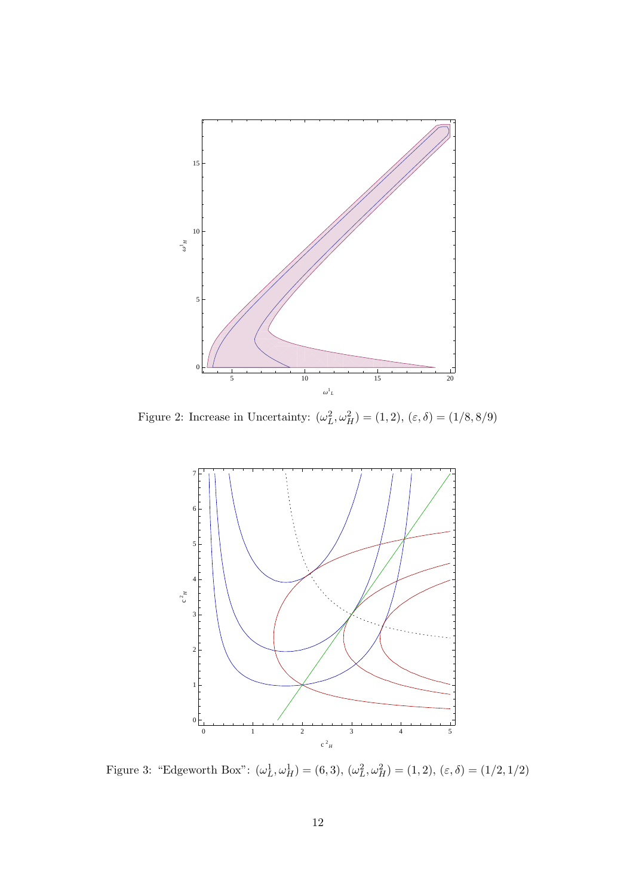

Figure 2: Increase in Uncertainty:  $(\omega_L^2, \omega_H^2) = (1, 2), (\varepsilon, \delta) = (1/8, 8/9)$ 



Figure 3: "Edgeworth Box":  $(\omega_L^1, \omega_H^1) = (6, 3), (\omega_L^2, \omega_H^2) = (1, 2), (\varepsilon, \delta) = (1/2, 1/2)$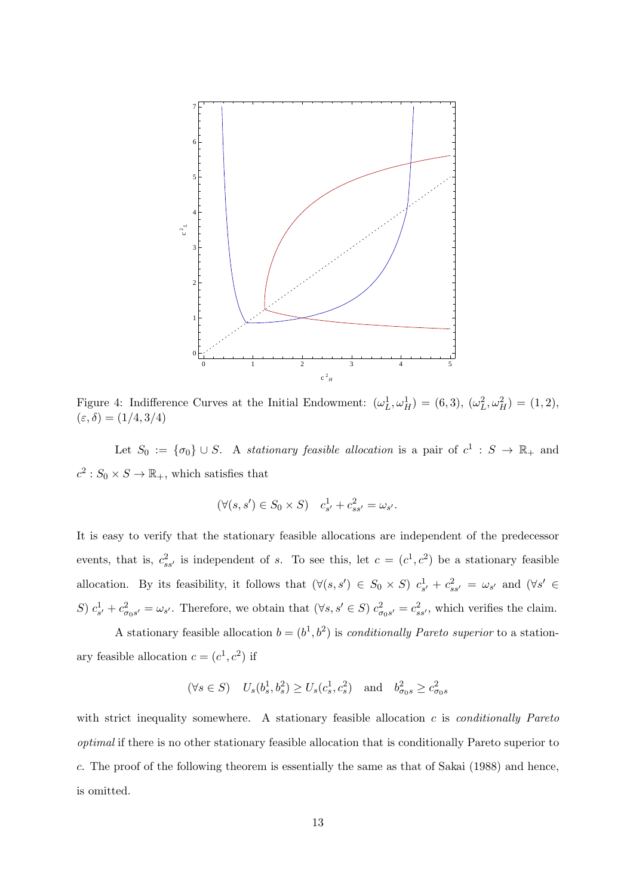

Figure 4: Indifference Curves at the Initial Endowment:  $(\omega_L^1, \omega_H^1) = (6, 3), (\omega_L^2, \omega_H^2) = (1, 2),$ (*ε, δ*) = (1*/*4*,* 3*/*4)

Let  $S_0 := {\sigma_0} \cup S$ . A *stationary feasible allocation* is a pair of  $c^1 : S \to \mathbb{R}_+$  and  $c^2$ :  $S_0 \times S \to \mathbb{R}_+$ , which satisfies that

$$
(\forall (s, s') \in S_0 \times S) \quad c_{s'}^1 + c_{ss'}^2 = \omega_{s'}.
$$

It is easy to verify that the stationary feasible allocations are independent of the predecessor events, that is,  $c_{ss}^2$  is independent of *s*. To see this, let  $c = (c^1, c^2)$  be a stationary feasible allocation. By its feasibility, it follows that  $(\forall (s,s') \in S_0 \times S)$   $c_{s'}^1 + c_{ss'}^2 = \omega_{s'}$  and  $(\forall s' \in S_0 \times S)$ S)  $c_{s'}^1 + c_{\sigma_0 s'}^2 = \omega_{s'}$ . Therefore, we obtain that  $(\forall s, s' \in S)$   $c_{\sigma_0 s'}^2 = c_{ss'}^2$ , which verifies the claim.

A stationary feasible allocation  $b = (b^1, b^2)$  is *conditionally Pareto superior* to a stationary feasible allocation  $c = (c^1, c^2)$  if

$$
(\forall s \in S)
$$
  $U_s(b_s^1, b_s^2) \ge U_s(c_s^1, c_s^2)$  and  $b_{\sigma_0}^2 \ge c_{\sigma_0}^2$ 

with strict inequality somewhere. A stationary feasible allocation *c* is *conditionally Pareto optimal* if there is no other stationary feasible allocation that is conditionally Pareto superior to *c*. The proof of the following theorem is essentially the same as that of Sakai (1988) and hence, is omitted.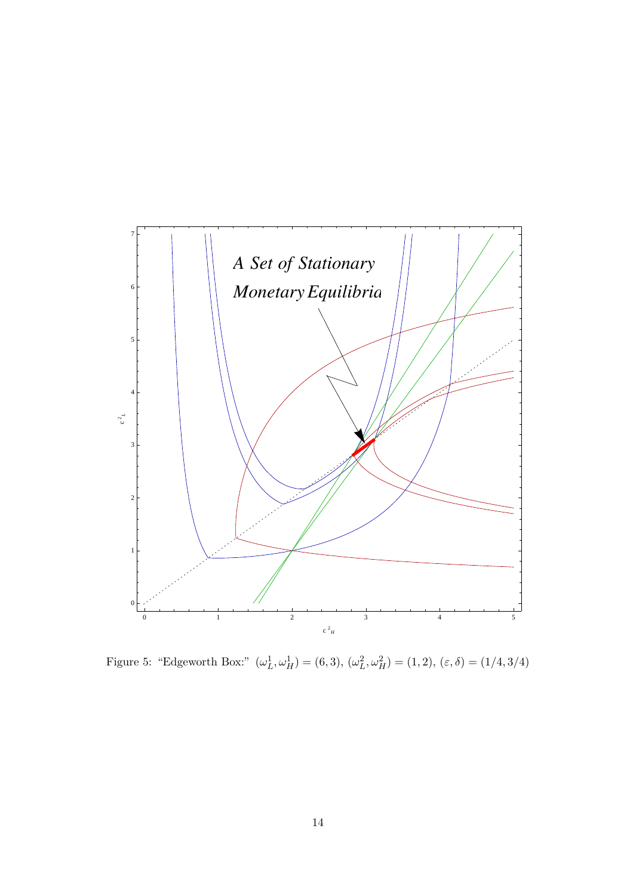

Figure 5: "Edgeworth Box:"  $(\omega_L^1, \omega_H^1) = (6, 3), (\omega_L^2, \omega_H^2) = (1, 2), (\varepsilon, \delta) = (1/4, 3/4)$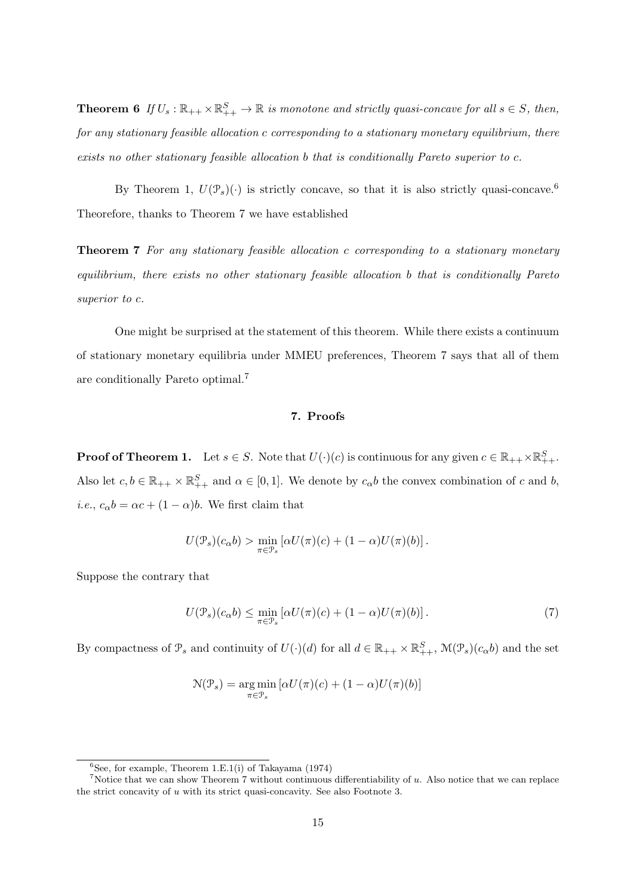**Theorem 6** *If*  $U_s$  :  $\mathbb{R}_{++} \times \mathbb{R}^S_{++} \to \mathbb{R}$  *is monotone and strictly quasi-concave for all*  $s \in S$ *, then, for any stationary feasible allocation c corresponding to a stationary monetary equilibrium, there exists no other stationary feasible allocation b that is conditionally Pareto superior to c.*

By Theorem 1,  $U(\mathcal{P}_s)(\cdot)$  is strictly concave, so that it is also strictly quasi-concave.<sup>6</sup> Theorefore, thanks to Theorem 7 we have established

**Theorem 7** *For any stationary feasible allocation c corresponding to a stationary monetary equilibrium, there exists no other stationary feasible allocation b that is conditionally Pareto superior to c.*

One might be surprised at the statement of this theorem. While there exists a continuum of stationary monetary equilibria under MMEU preferences, Theorem 7 says that all of them are conditionally Pareto optimal.<sup>7</sup>

# **7. Proofs**

**Proof of Theorem 1.** Let  $s \in S$ . Note that  $U(\cdot)(c)$  is continuous for any given  $c \in \mathbb{R}_{++} \times \mathbb{R}^S_{++}$ . Also let  $c, b \in \mathbb{R}_{++} \times \mathbb{R}^S_{++}$  and  $\alpha \in [0,1]$ . We denote by  $c_{\alpha}b$  the convex combination of *c* and *b*, *i.e.*,  $c_{\alpha}b = \alpha c + (1 - \alpha)b$ . We first claim that

$$
U(\mathcal{P}_s)(c_{\alpha}b) > \min_{\pi \in \mathcal{P}_s} \left[ \alpha U(\pi)(c) + (1 - \alpha)U(\pi)(b) \right].
$$

Suppose the contrary that

$$
U(\mathcal{P}_s)(c_\alpha b) \le \min_{\pi \in \mathcal{P}_s} \left[ \alpha U(\pi)(c) + (1 - \alpha)U(\pi)(b) \right]. \tag{7}
$$

By compactness of  $\mathcal{P}_s$  and continuity of  $U(\cdot)(d)$  for all  $d \in \mathbb{R}_{++} \times \mathbb{R}^S_{++}$ ,  $\mathcal{M}(\mathcal{P}_s)(c_\alpha b)$  and the set

$$
\mathcal{N}(\mathcal{P}_s) = \underset{\pi \in \mathcal{P}_s}{\arg \min} \left[ \alpha U(\pi)(c) + (1 - \alpha)U(\pi)(b) \right]
$$

 ${}^{6}$ See, for example, Theorem 1.E.1(i) of Takayama (1974)

<sup>7</sup>Notice that we can show Theorem 7 without continuous differentiability of *u*. Also notice that we can replace the strict concavity of *u* with its strict quasi-concavity. See also Footnote 3.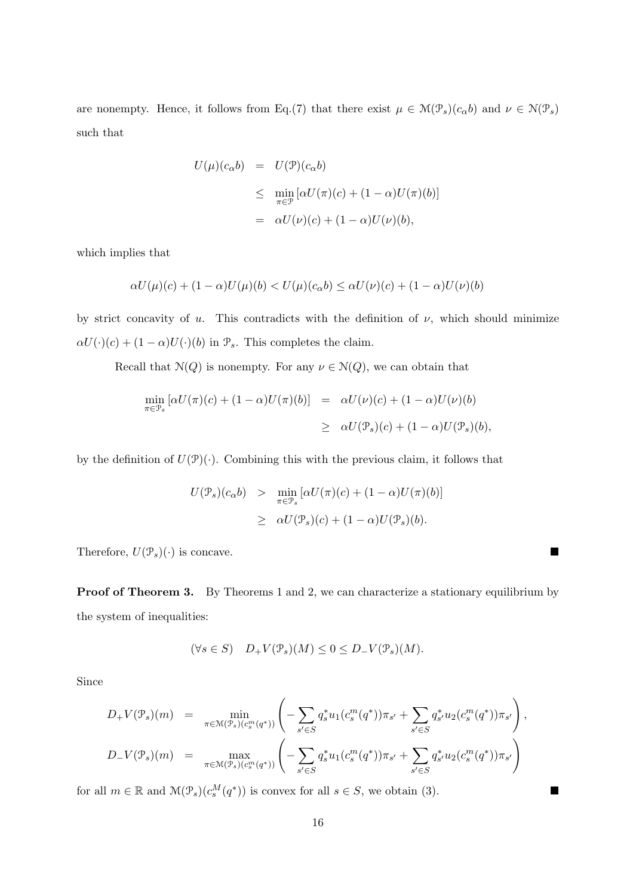are nonempty. Hence, it follows from Eq.(7) that there exist  $\mu \in \mathcal{M}(\mathcal{P}_s)(c_\alpha b)$  and  $\nu \in \mathcal{N}(\mathcal{P}_s)$ such that

$$
U(\mu)(c_{\alpha}b) = U(\mathcal{P})(c_{\alpha}b)
$$
  
\n
$$
\leq \min_{\pi \in \mathcal{P}} [\alpha U(\pi)(c) + (1 - \alpha)U(\pi)(b)]
$$
  
\n
$$
= \alpha U(\nu)(c) + (1 - \alpha)U(\nu)(b),
$$

which implies that

$$
\alpha U(\mu)(c) + (1 - \alpha)U(\mu)(b) < U(\mu)(c_{\alpha}b) \leq \alpha U(\nu)(c) + (1 - \alpha)U(\nu)(b)
$$

by strict concavity of *u*. This contradicts with the definition of  $\nu$ , which should minimize  $\alpha U(\cdot)(c) + (1 - \alpha)U(\cdot)(b)$  in  $\mathcal{P}_s$ . This completes the claim.

Recall that  $N(Q)$  is nonempty. For any  $\nu \in N(Q)$ , we can obtain that

$$
\min_{\pi \in \mathcal{P}_s} \left[ \alpha U(\pi)(c) + (1 - \alpha)U(\pi)(b) \right] = \alpha U(\nu)(c) + (1 - \alpha)U(\nu)(b)
$$
  

$$
\geq \alpha U(\mathcal{P}_s)(c) + (1 - \alpha)U(\mathcal{P}_s)(b),
$$

by the definition of  $U(\mathcal{P})(\cdot)$ . Combining this with the previous claim, it follows that

$$
U(\mathcal{P}_s)(c_{\alpha}b) > \min_{\pi \in \mathcal{P}_s} [\alpha U(\pi)(c) + (1 - \alpha)U(\pi)(b)]
$$
  

$$
\geq \alpha U(\mathcal{P}_s)(c) + (1 - \alpha)U(\mathcal{P}_s)(b).
$$

Therefore,  $U(\mathcal{P}_s)(\cdot)$  is concave.

**Proof of Theorem 3.** By Theorems 1 and 2, we can characterize a stationary equilibrium by the system of inequalities:

$$
(\forall s \in S) \quad D_+ V(\mathcal{P}_s)(M) \le 0 \le D_- V(\mathcal{P}_s)(M).
$$

Since

$$
D_{+}V(\mathcal{P}_{s})(m) = \min_{\pi \in \mathcal{M}(\mathcal{P}_{s})(c_{s}^{m}(q^{*}))} \left( -\sum_{s' \in S} q_{s}^{*} u_{1}(c_{s}^{m}(q^{*})) \pi_{s'} + \sum_{s' \in S} q_{s'}^{*} u_{2}(c_{s}^{m}(q^{*})) \pi_{s'} \right),
$$
  

$$
D_{-}V(\mathcal{P}_{s})(m) = \max_{\pi \in \mathcal{M}(\mathcal{P}_{s})(c_{s}^{m}(q^{*}))} \left( -\sum_{s' \in S} q_{s}^{*} u_{1}(c_{s}^{m}(q^{*})) \pi_{s'} + \sum_{s' \in S} q_{s'}^{*} u_{2}(c_{s}^{m}(q^{*})) \pi_{s'} \right)
$$

for all  $m \in \mathbb{R}$  and  $\mathcal{M}(\mathcal{P}_s)(c_s^M(q^*))$  is convex for all  $s \in S$ , we obtain (3).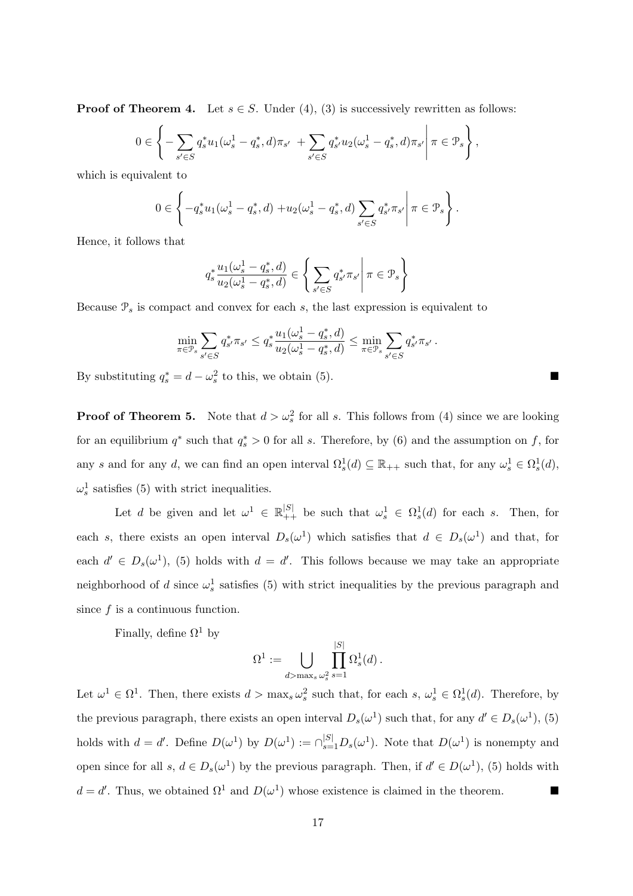**Proof of Theorem 4.** Let  $s \in S$ . Under (4), (3) is successively rewritten as follows:

$$
0 \in \left\{-\sum_{s' \in S} q_s^* u_1(\omega_s^1 - q_s^*, d)\pi_{s'} + \sum_{s' \in S} q_{s'}^* u_2(\omega_s^1 - q_s^*, d)\pi_{s'} \middle| \pi \in \mathcal{P}_s\right\},\right\}
$$

which is equivalent to

$$
0 \in \left\{-q_s^*u_1(\omega_s^1 - q_s^*, d) + u_2(\omega_s^1 - q_s^*, d)\sum_{s' \in S} q_{s'}^*\pi_{s'}\right\}\pi \in \mathcal{P}_s\right\}.
$$

Hence, it follows that

$$
q_s^* \frac{u_1(\omega_s^1 - q_s^*, d)}{u_2(\omega_s^1 - q_s^*, d)} \in \left\{ \left. \sum_{s' \in S} q_{s'}^* \pi_{s'} \right| \pi \in \mathcal{P}_s \right\}
$$

Because  $\mathcal{P}_s$  is compact and convex for each  $s$ , the last expression is equivalent to

$$
\min_{\pi \in \mathcal{P}_s} \sum_{s' \in S} q_{s'}^* \pi_{s'} \le q_s^* \frac{u_1(\omega_s^1 - q_s^*, d)}{u_2(\omega_s^1 - q_s^*, d)} \le \min_{\pi \in \mathcal{P}_s} \sum_{s' \in S} q_{s'}^* \pi_{s'}.
$$

By substituting  $q_s^* = d - \omega_s^2$  to this, we obtain (5).

**Proof of Theorem 5.** Note that  $d > \omega_s^2$  for all *s*. This follows from (4) since we are looking for an equilibrium  $q^*$  such that  $q_s^* > 0$  for all *s*. Therefore, by (6) and the assumption on *f*, for any *s* and for any *d*, we can find an open interval  $\Omega_s^1(d) \subseteq \mathbb{R}_{++}$  such that, for any  $\omega_s^1 \in \Omega_s^1(d)$ ,  $\omega_s^1$  satisfies (5) with strict inequalities.

Let *d* be given and let  $\omega^1 \in \mathbb{R}_{++}^{|S|}$  be such that  $\omega_s^1 \in \Omega_s^1(d)$  for each *s*. Then, for each *s*, there exists an open interval  $D_s(\omega^1)$  which satisfies that  $d \in D_s(\omega^1)$  and that, for each  $d' \in D_s(\omega^1)$ , (5) holds with  $d = d'$ . This follows because we may take an appropriate neighborhood of *d* since  $\omega_s^1$  satisfies (5) with strict inequalities by the previous paragraph and since *f* is a continuous function.

Finally, define  $\Omega^1$  by

$$
\Omega^1 := \bigcup_{d > \max_s \omega_s^2} \prod_{s=1}^{|S|} \Omega_s^1(d) .
$$

Let  $\omega^1 \in \Omega^1$ . Then, there exists  $d > \max_s \omega_s^2$  such that, for each  $s, \omega_s^1 \in \Omega_s^1(d)$ . Therefore, by the previous paragraph, there exists an open interval  $D_s(\omega^1)$  such that, for any  $d' \in D_s(\omega^1)$ , (5) holds with  $d = d'$ . Define  $D(\omega^1)$  by  $D(\omega^1) := \bigcap_{s=1}^{|S|} D_s(\omega^1)$ . Note that  $D(\omega^1)$  is nonempty and open since for all  $s, d \in D_s(\omega^1)$  by the previous paragraph. Then, if  $d' \in D(\omega^1)$ , (5) holds with  $d = d'$ . Thus, we obtained  $\Omega^1$  and  $D(\omega^1)$  whose existence is claimed in the theorem.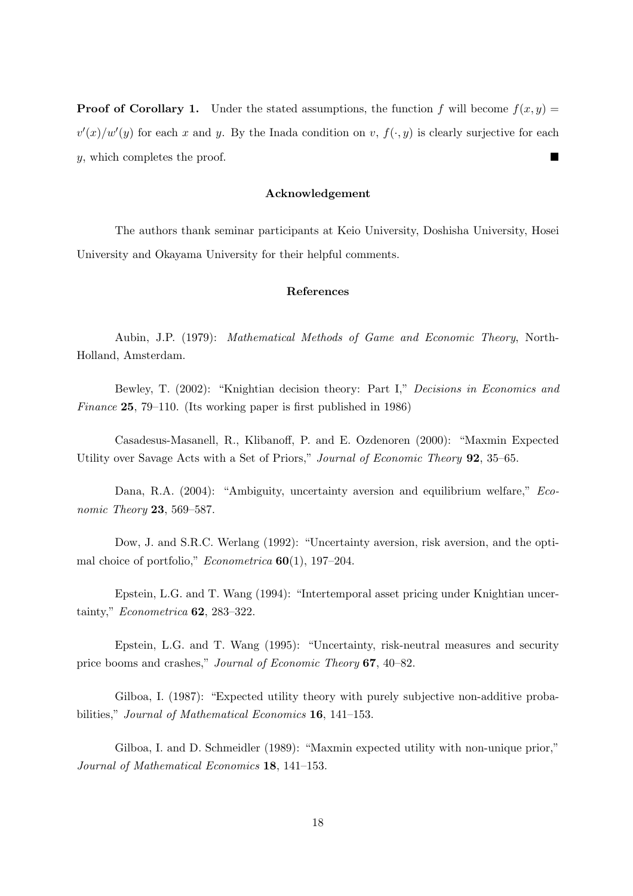**Proof of Corollary 1.** Under the stated assumptions, the function *f* will become  $f(x, y) =$  $v'(x)/w'(y)$  for each *x* and *y*. By the Inada condition on *v*,  $f(\cdot, y)$  is clearly surjective for each *y*, which completes the proof.

#### **Acknowledgement**

The authors thank seminar participants at Keio University, Doshisha University, Hosei University and Okayama University for their helpful comments.

# **References**

Aubin, J.P. (1979): *Mathematical Methods of Game and Economic Theory*, North-Holland, Amsterdam.

Bewley, T. (2002): "Knightian decision theory: Part I," *Decisions in Economics and Finance* **25**, 79–110. (Its working paper is first published in 1986)

Casadesus-Masanell, R., Klibanoff, P. and E. Ozdenoren (2000): "Maxmin Expected Utility over Savage Acts with a Set of Priors," *Journal of Economic Theory* **92**, 35–65.

Dana, R.A. (2004): "Ambiguity, uncertainty aversion and equilibrium welfare," *Economic Theory* **23**, 569–587.

Dow, J. and S.R.C. Werlang (1992): "Uncertainty aversion, risk aversion, and the optimal choice of portfolio," *Econometrica* **60**(1), 197–204.

Epstein, L.G. and T. Wang (1994): "Intertemporal asset pricing under Knightian uncertainty," *Econometrica* **62**, 283–322.

Epstein, L.G. and T. Wang (1995): "Uncertainty, risk-neutral measures and security price booms and crashes," *Journal of Economic Theory* **67**, 40–82.

Gilboa, I. (1987): "Expected utility theory with purely subjective non-additive probabilities," *Journal of Mathematical Economics* **16**, 141–153.

Gilboa, I. and D. Schmeidler (1989): "Maxmin expected utility with non-unique prior," *Journal of Mathematical Economics* **18**, 141–153.